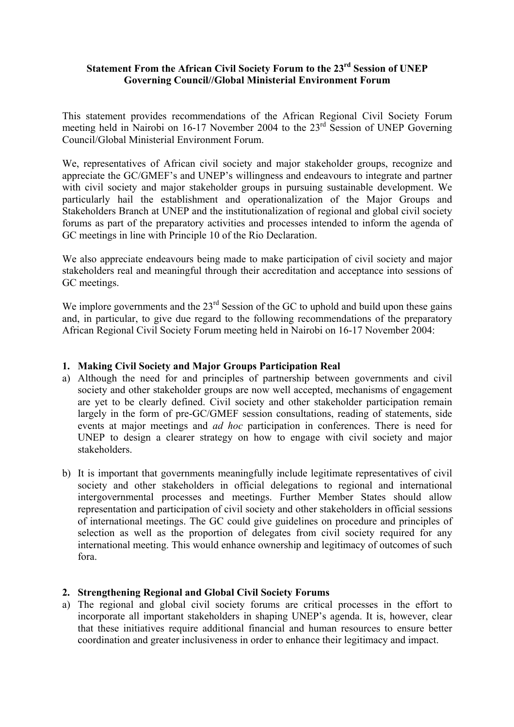# **Statement From the African Civil Society Forum to the 23rd Session of UNEP Governing Council//Global Ministerial Environment Forum**

This statement provides recommendations of the African Regional Civil Society Forum meeting held in Nairobi on 16-17 November 2004 to the 23<sup>rd</sup> Session of UNEP Governing Council/Global Ministerial Environment Forum.

We, representatives of African civil society and major stakeholder groups, recognize and appreciate the GC/GMEF's and UNEP's willingness and endeavours to integrate and partner with civil society and major stakeholder groups in pursuing sustainable development. We particularly hail the establishment and operationalization of the Major Groups and Stakeholders Branch at UNEP and the institutionalization of regional and global civil society forums as part of the preparatory activities and processes intended to inform the agenda of GC meetings in line with Principle 10 of the Rio Declaration.

We also appreciate endeavours being made to make participation of civil society and major stakeholders real and meaningful through their accreditation and acceptance into sessions of GC meetings.

We implore governments and the  $23<sup>rd</sup>$  Session of the GC to uphold and build upon these gains and, in particular, to give due regard to the following recommendations of the preparatory African Regional Civil Society Forum meeting held in Nairobi on 16-17 November 2004:

## **1. Making Civil Society and Major Groups Participation Real**

- a) Although the need for and principles of partnership between governments and civil society and other stakeholder groups are now well accepted, mechanisms of engagement are yet to be clearly defined. Civil society and other stakeholder participation remain largely in the form of pre-GC/GMEF session consultations, reading of statements, side events at major meetings and *ad hoc* participation in conferences. There is need for UNEP to design a clearer strategy on how to engage with civil society and major stakeholders.
- b) It is important that governments meaningfully include legitimate representatives of civil society and other stakeholders in official delegations to regional and international intergovernmental processes and meetings. Further Member States should allow representation and participation of civil society and other stakeholders in official sessions of international meetings. The GC could give guidelines on procedure and principles of selection as well as the proportion of delegates from civil society required for any international meeting. This would enhance ownership and legitimacy of outcomes of such fora.

# **2. Strengthening Regional and Global Civil Society Forums**

a) The regional and global civil society forums are critical processes in the effort to incorporate all important stakeholders in shaping UNEP's agenda. It is, however, clear that these initiatives require additional financial and human resources to ensure better coordination and greater inclusiveness in order to enhance their legitimacy and impact.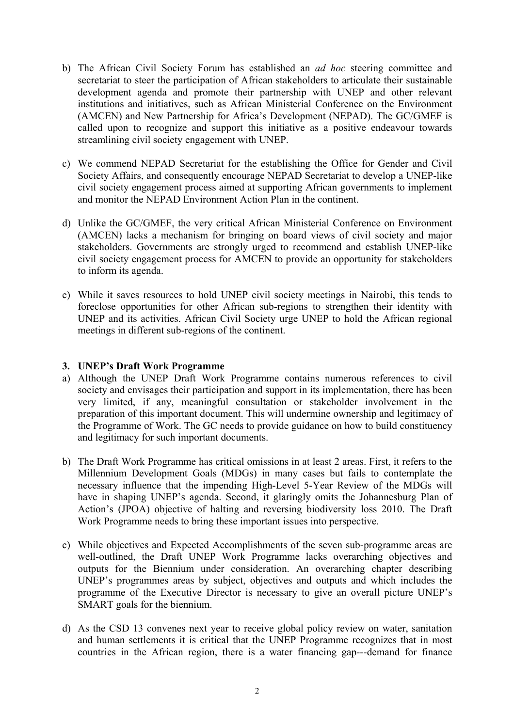- b) The African Civil Society Forum has established an *ad hoc* steering committee and secretariat to steer the participation of African stakeholders to articulate their sustainable development agenda and promote their partnership with UNEP and other relevant institutions and initiatives, such as African Ministerial Conference on the Environment (AMCEN) and New Partnership for Africa's Development (NEPAD). The GC/GMEF is called upon to recognize and support this initiative as a positive endeavour towards streamlining civil society engagement with UNEP.
- c) We commend NEPAD Secretariat for the establishing the Office for Gender and Civil Society Affairs, and consequently encourage NEPAD Secretariat to develop a UNEP-like civil society engagement process aimed at supporting African governments to implement and monitor the NEPAD Environment Action Plan in the continent.
- d) Unlike the GC/GMEF, the very critical African Ministerial Conference on Environment (AMCEN) lacks a mechanism for bringing on board views of civil society and major stakeholders. Governments are strongly urged to recommend and establish UNEP-like civil society engagement process for AMCEN to provide an opportunity for stakeholders to inform its agenda.
- e) While it saves resources to hold UNEP civil society meetings in Nairobi, this tends to foreclose opportunities for other African sub-regions to strengthen their identity with UNEP and its activities. African Civil Society urge UNEP to hold the African regional meetings in different sub-regions of the continent.

## **3. UNEP's Draft Work Programme**

- a) Although the UNEP Draft Work Programme contains numerous references to civil society and envisages their participation and support in its implementation, there has been very limited, if any, meaningful consultation or stakeholder involvement in the preparation of this important document. This will undermine ownership and legitimacy of the Programme of Work. The GC needs to provide guidance on how to build constituency and legitimacy for such important documents.
- b) The Draft Work Programme has critical omissions in at least 2 areas. First, it refers to the Millennium Development Goals (MDGs) in many cases but fails to contemplate the necessary influence that the impending High-Level 5-Year Review of the MDGs will have in shaping UNEP's agenda. Second, it glaringly omits the Johannesburg Plan of Action's (JPOA) objective of halting and reversing biodiversity loss 2010. The Draft Work Programme needs to bring these important issues into perspective.
- c) While objectives and Expected Accomplishments of the seven sub-programme areas are well-outlined, the Draft UNEP Work Programme lacks overarching objectives and outputs for the Biennium under consideration. An overarching chapter describing UNEP's programmes areas by subject, objectives and outputs and which includes the programme of the Executive Director is necessary to give an overall picture UNEP's SMART goals for the biennium.
- d) As the CSD 13 convenes next year to receive global policy review on water, sanitation and human settlements it is critical that the UNEP Programme recognizes that in most countries in the African region, there is a water financing gap---demand for finance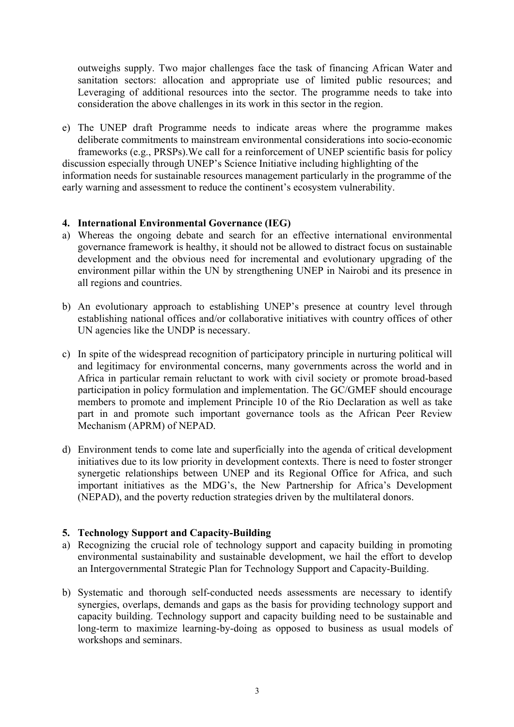outweighs supply. Two major challenges face the task of financing African Water and sanitation sectors: allocation and appropriate use of limited public resources; and Leveraging of additional resources into the sector. The programme needs to take into consideration the above challenges in its work in this sector in the region.

e) The UNEP draft Programme needs to indicate areas where the programme makes deliberate commitments to mainstream environmental considerations into socio-economic frameworks (e.g., PRSPs).We call for a reinforcement of UNEP scientific basis for policy discussion especially through UNEP's Science Initiative including highlighting of the information needs for sustainable resources management particularly in the programme of the early warning and assessment to reduce the continent's ecosystem vulnerability.

#### **4. International Environmental Governance (IEG)**

- a) Whereas the ongoing debate and search for an effective international environmental governance framework is healthy, it should not be allowed to distract focus on sustainable development and the obvious need for incremental and evolutionary upgrading of the environment pillar within the UN by strengthening UNEP in Nairobi and its presence in all regions and countries.
- b) An evolutionary approach to establishing UNEP's presence at country level through establishing national offices and/or collaborative initiatives with country offices of other UN agencies like the UNDP is necessary.
- c) In spite of the widespread recognition of participatory principle in nurturing political will and legitimacy for environmental concerns, many governments across the world and in Africa in particular remain reluctant to work with civil society or promote broad-based participation in policy formulation and implementation. The GC/GMEF should encourage members to promote and implement Principle 10 of the Rio Declaration as well as take part in and promote such important governance tools as the African Peer Review Mechanism (APRM) of NEPAD.
- d) Environment tends to come late and superficially into the agenda of critical development initiatives due to its low priority in development contexts. There is need to foster stronger synergetic relationships between UNEP and its Regional Office for Africa, and such important initiatives as the MDG's, the New Partnership for Africa's Development (NEPAD), and the poverty reduction strategies driven by the multilateral donors.

# **5. Technology Support and Capacity-Building**

- a) Recognizing the crucial role of technology support and capacity building in promoting environmental sustainability and sustainable development, we hail the effort to develop an Intergovernmental Strategic Plan for Technology Support and Capacity-Building.
- b) Systematic and thorough self-conducted needs assessments are necessary to identify synergies, overlaps, demands and gaps as the basis for providing technology support and capacity building. Technology support and capacity building need to be sustainable and long-term to maximize learning-by-doing as opposed to business as usual models of workshops and seminars.